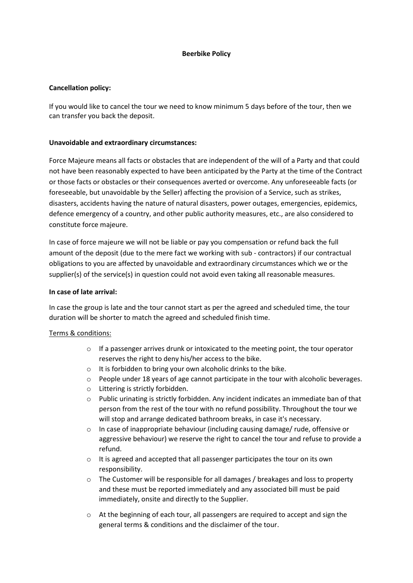# **Beerbike Policy**

## **Cancellation policy:**

If you would like to cancel the tour we need to know minimum 5 days before of the tour, then we can transfer you back the deposit.

# **Unavoidable and extraordinary circumstances:**

Force Majeure means all facts or obstacles that are independent of the will of a Party and that could not have been reasonably expected to have been anticipated by the Party at the time of the Contract or those facts or obstacles or their consequences averted or overcome. Any unforeseeable facts (or foreseeable, but unavoidable by the Seller) affecting the provision of a Service, such as strikes, disasters, accidents having the nature of natural disasters, power outages, emergencies, epidemics, defence emergency of a country, and other public authority measures, etc., are also considered to constitute force majeure.

In case of force majeure we will not be liable or pay you compensation or refund back the full amount of the deposit (due to the mere fact we working with sub - contractors) if our contractual obligations to you are affected by unavoidable and extraordinary circumstances which we or the supplier(s) of the service(s) in question could not avoid even taking all reasonable measures.

#### **In case of late arrival:**

In case the group is late and the tour cannot start as per the agreed and scheduled time, the tour duration will be shorter to match the agreed and scheduled finish time.

# Terms & conditions:

- $\circ$  If a passenger arrives drunk or intoxicated to the meeting point, the tour operator reserves the right to deny his/her access to the bike.
- o It is forbidden to bring your own alcoholic drinks to the bike.
- o People under 18 years of age cannot participate in the tour with alcoholic beverages.
- o Littering is strictly forbidden.
- $\circ$  Public urinating is strictly forbidden. Any incident indicates an immediate ban of that person from the rest of the tour with no refund possibility. Throughout the tour we will stop and arrange dedicated bathroom breaks, in case it's necessary.
- $\circ$  In case of inappropriate behaviour (including causing damage/ rude, offensive or aggressive behaviour) we reserve the right to cancel the tour and refuse to provide a refund.
- o It is agreed and accepted that all passenger participates the tour on its own responsibility.
- $\circ$  The Customer will be responsible for all damages / breakages and loss to property and these must be reported immediately and any associated bill must be paid immediately, onsite and directly to the Supplier.
- $\circ$  At the beginning of each tour, all passengers are required to accept and sign the general terms & conditions and the disclaimer of the tour.